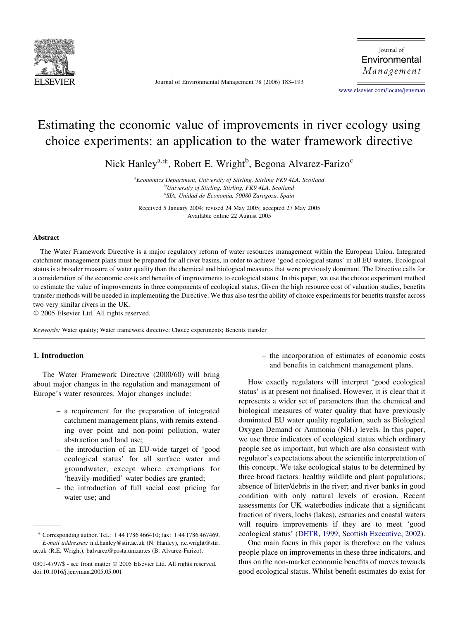

Journal of Environmental Management 78 (2006) 183–193

Journal of Environmental Management

[www.elsevier.com/locate/jenvman](http://www.elsevier.com/locate/jnlabr/jenvman)

# Estimating the economic value of improvements in river ecology using choice experiments: an application to the water framework directive

Nick Hanley<sup>a,\*</sup>, Robert E. Wright<sup>b</sup>, Begona Alvarez-Farizo<sup>c</sup>

<sup>a</sup> Economics Department, University of Stirling, Stirling FK9 4LA, Scotland <sup>b</sup>University of Stirling, Stirling, FK9 4LA, Scotland c SIA, Unidad de Economia, 50080 Zaragoza, Spain

Received 5 January 2004; revised 24 May 2005; accepted 27 May 2005 Available online 22 August 2005

## Abstract

The Water Framework Directive is a major regulatory reform of water resources management within the European Union. Integrated catchment management plans must be prepared for all river basins, in order to achieve 'good ecological status' in all EU waters. Ecological status is a broader measure of water quality than the chemical and biological measures that were previously dominant. The Directive calls for a consideration of the economic costs and benefits of improvements to ecological status. In this paper, we use the choice experiment method to estimate the value of improvements in three components of ecological status. Given the high resource cost of valuation studies, benefits transfer methods will be needed in implementing the Directive. We thus also test the ability of choice experiments for benefits transfer across two very similar rivers in the UK.

 $© 2005 Elsevier Ltd. All rights reserved.$ 

Keywords: Water quality; Water framework directive; Choice experiments; Benefits transfer

# 1. Introduction

The Water Framework Directive (2000/60) will bring about major changes in the regulation and management of Europe's water resources. Major changes include:

- a requirement for the preparation of integrated catchment management plans, with remits extending over point and non-point pollution, water abstraction and land use;
- the introduction of an EU-wide target of 'good ecological status' for all surface water and groundwater, except where exemptions for 'heavily-modified' water bodies are granted;
- the introduction of full social cost pricing for water use; and

– the incorporation of estimates of economic costs and benefits in catchment management plans.

How exactly regulators will interpret 'good ecological status' is at present not finalised. However, it is clear that it represents a wider set of parameters than the chemical and biological measures of water quality that have previously dominated EU water quality regulation, such as Biological Oxygen Demand or Ammonia (NH3) levels. In this paper, we use three indicators of ecological status which ordinary people see as important, but which are also consistent with regulator's expectations about the scientific interpretation of this concept. We take ecological status to be determined by three broad factors: healthy wildlife and plant populations; absence of litter/debris in the river; and river banks in good condition with only natural levels of erosion. Recent assessments for UK waterbodies indicate that a significant fraction of rivers, lochs (lakes), estuaries and coastal waters will require improvements if they are to meet 'good ecological status' ([DETR, 1999; Scottish Executive, 2002\)](#page-9-0).

One main focus in this paper is therefore on the values people place on improvements in these three indicators, and thus on the non-market economic benefits of moves towards good ecological status. Whilst benefit estimates do exist for

<sup>\*</sup> Corresponding author. Tel.:  $+44$  1786 466410; fax:  $+44$  1786 467469. E-mail addresses: n.d.hanley@stir.ac.uk (N. Hanley), r.e.wright@stir. ac.uk (R.E. Wright), balvarez@posta.unizar.es (B. Alvarez-Farizo).

<sup>0301-4797/\$ -</sup> see front matter © 2005 Elsevier Ltd. All rights reserved. doi:10.1016/j.jenvman.2005.05.001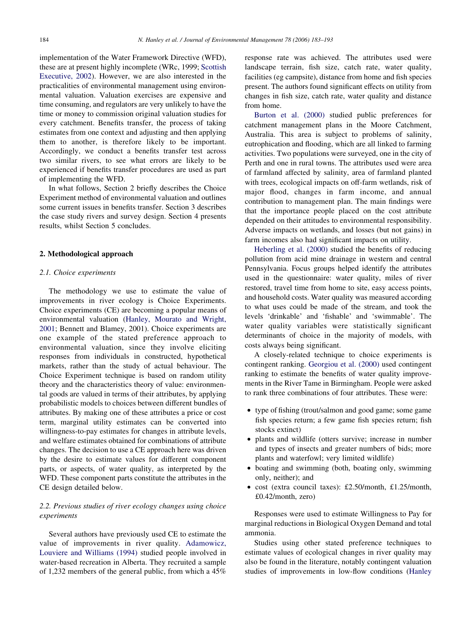implementation of the Water Framework Directive (WFD), these are at present highly incomplete (WRc, 1999; [Scottish](#page-10-0) [Executive, 2002](#page-10-0)). However, we are also interested in the practicalities of environmental management using environmental valuation. Valuation exercises are expensive and time consuming, and regulators are very unlikely to have the time or money to commission original valuation studies for every catchment. Benefits transfer, the process of taking estimates from one context and adjusting and then applying them to another, is therefore likely to be important. Accordingly, we conduct a benefits transfer test across two similar rivers, to see what errors are likely to be experienced if benefits transfer procedures are used as part of implementing the WFD.

In what follows, Section 2 briefly describes the Choice Experiment method of environmental valuation and outlines some current issues in benefits transfer. Section 3 describes the case study rivers and survey design. Section 4 presents results, whilst Section 5 concludes.

## 2. Methodological approach

## 2.1. Choice experiments

The methodology we use to estimate the value of improvements in river ecology is Choice Experiments. Choice experiments (CE) are becoming a popular means of environmental valuation ([Hanley, Mourato and Wright,](#page-9-0) [2001;](#page-9-0) Bennett and Blamey, 2001). Choice experiments are one example of the stated preference approach to environmental valuation, since they involve eliciting responses from individuals in constructed, hypothetical markets, rather than the study of actual behaviour. The Choice Experiment technique is based on random utility theory and the characteristics theory of value: environmental goods are valued in terms of their attributes, by applying probabilistic models to choices between different bundles of attributes. By making one of these attributes a price or cost term, marginal utility estimates can be converted into willingness-to-pay estimates for changes in attribute levels, and welfare estimates obtained for combinations of attribute changes. The decision to use a CE approach here was driven by the desire to estimate values for different component parts, or aspects, of water quality, as interpreted by the WFD. These component parts constitute the attributes in the CE design detailed below.

## 2.2. Previous studies of river ecology changes using choice experiments

Several authors have previously used CE to estimate the value of improvements in river quality. [Adamowicz,](#page-9-0) [Louviere and Williams \(1994\)](#page-9-0) studied people involved in water-based recreation in Alberta. They recruited a sample of 1,232 members of the general public, from which a 45%

response rate was achieved. The attributes used were landscape terrain, fish size, catch rate, water quality, facilities (eg campsite), distance from home and fish species present. The authors found significant effects on utility from changes in fish size, catch rate, water quality and distance from home.

[Burton et al. \(2000\)](#page-9-0) studied public preferences for catchment management plans in the Moore Catchment, Australia. This area is subject to problems of salinity, eutrophication and flooding, which are all linked to farming activities. Two populations were surveyed, one in the city of Perth and one in rural towns. The attributes used were area of farmland affected by salinity, area of farmland planted with trees, ecological impacts on off-farm wetlands, risk of major flood, changes in farm income, and annual contribution to management plan. The main findings were that the importance people placed on the cost attribute depended on their attitudes to environmental responsibility. Adverse impacts on wetlands, and losses (but not gains) in farm incomes also had significant impacts on utility.

[Heberling et al. \(2000\)](#page-10-0) studied the benefits of reducing pollution from acid mine drainage in western and central Pennsylvania. Focus groups helped identify the attributes used in the questionnaire: water quality, miles of river restored, travel time from home to site, easy access points, and household costs. Water quality was measured according to what uses could be made of the stream, and took the levels 'drinkable' and 'fishable' and 'swimmable'. The water quality variables were statistically significant determinants of choice in the majority of models, with costs always being significant.

A closely-related technique to choice experiments is contingent ranking. [Georgiou et al. \(2000\)](#page-9-0) used contingent ranking to estimate the benefits of water quality improvements in the River Tame in Birmingham. People were asked to rank three combinations of four attributes. These were:

- type of fishing (trout/salmon and good game; some game fish species return; a few game fish species return; fish stocks extinct)
- plants and wildlife (otters survive; increase in number and types of insects and greater numbers of bids; more plants and waterfowl; very limited wildlife)
- boating and swimming (both, boating only, swimming only, neither); and
- cost (extra council taxes): £2.50/month, £1.25/month, £0.42/month, zero)

Responses were used to estimate Willingness to Pay for marginal reductions in Biological Oxygen Demand and total ammonia.

Studies using other stated preference techniques to estimate values of ecological changes in river quality may also be found in the literature, notably contingent valuation studies of improvements in low-flow conditions ([Hanley](#page-9-0)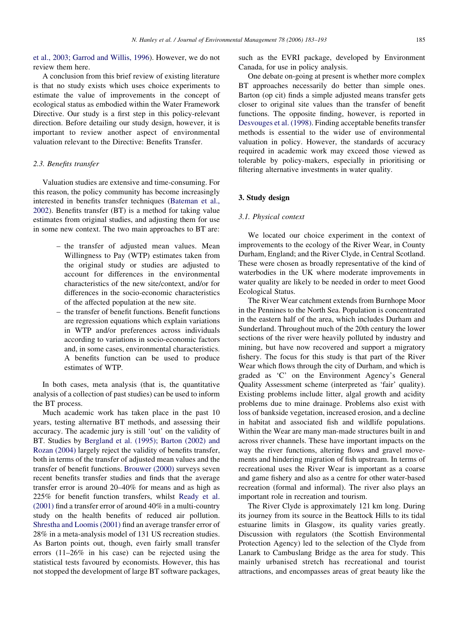[et al., 2003; Garrod and Willis, 1996](#page-9-0)). However, we do not review them here.

A conclusion from this brief review of existing literature is that no study exists which uses choice experiments to estimate the value of improvements in the concept of ecological status as embodied within the Water Framework Directive. Our study is a first step in this policy-relevant direction. Before detailing our study design, however, it is important to review another aspect of environmental valuation relevant to the Directive: Benefits Transfer.

#### 2.3. Benefits transfer

Valuation studies are extensive and time-consuming. For this reason, the policy community has become increasingly interested in benefits transfer techniques [\(Bateman et al.,](#page-9-0) [2002](#page-9-0)). Benefits transfer (BT) is a method for taking value estimates from original studies, and adjusting them for use in some new context. The two main approaches to BT are:

- the transfer of adjusted mean values. Mean Willingness to Pay (WTP) estimates taken from the original study or studies are adjusted to account for differences in the environmental characteristics of the new site/context, and/or for differences in the socio-economic characteristics of the affected population at the new site.
- the transfer of benefit functions. Benefit functions are regression equations which explain variations in WTP and/or preferences across individuals according to variations in socio-economic factors and, in some cases, environmental characteristics. A benefits function can be used to produce estimates of WTP.

In both cases, meta analysis (that is, the quantitative analysis of a collection of past studies) can be used to inform the BT process.

Much academic work has taken place in the past 10 years, testing alternative BT methods, and assessing their accuracy. The academic jury is still 'out' on the validity of BT. Studies by [Bergland et al. \(1995\); Barton \(2002\) and](#page-9-0) [Rozan \(2004\)](#page-9-0) largely reject the validity of benefits transfer, both in terms of the transfer of adjusted mean values and the transfer of benefit functions. [Brouwer \(2000\)](#page-9-0) surveys seven recent benefits transfer studies and finds that the average transfer error is around 20–40% for means and as high as 225% for benefit function transfers, whilst [Ready et al.](#page-10-0) [\(2001\)](#page-10-0) find a transfer error of around 40% in a multi-country study on the health benefits of reduced air pollution. [Shrestha and Loomis \(2001\)](#page-10-0) find an average transfer error of 28% in a meta-analysis model of 131 US recreation studies. As Barton points out, though, even fairly small transfer errors (11–26% in his case) can be rejected using the statistical tests favoured by economists. However, this has not stopped the development of large BT software packages,

such as the EVRI package, developed by Environment Canada, for use in policy analysis.

One debate on-going at present is whether more complex BT approaches necessarily do better than simple ones. Barton (op cit) finds a simple adjusted means transfer gets closer to original site values than the transfer of benefit functions. The opposite finding, however, is reported in [Desvouges et al. \(1998\).](#page-9-0) Finding acceptable benefits transfer methods is essential to the wider use of environmental valuation in policy. However, the standards of accuracy required in academic work may exceed those viewed as tolerable by policy-makers, especially in prioritising or filtering alternative investments in water quality.

## 3. Study design

#### 3.1. Physical context

We located our choice experiment in the context of improvements to the ecology of the River Wear, in County Durham, England; and the River Clyde, in Central Scotland. These were chosen as broadly representative of the kind of waterbodies in the UK where moderate improvements in water quality are likely to be needed in order to meet Good Ecological Status.

The River Wear catchment extends from Burnhope Moor in the Pennines to the North Sea. Population is concentrated in the eastern half of the area, which includes Durham and Sunderland. Throughout much of the 20th century the lower sections of the river were heavily polluted by industry and mining, but have now recovered and support a migratory fishery. The focus for this study is that part of the River Wear which flows through the city of Durham, and which is graded as 'C' on the Environment Agency's General Quality Assessment scheme (interpreted as 'fair' quality). Existing problems include litter, algal growth and acidity problems due to mine drainage. Problems also exist with loss of bankside vegetation, increased erosion, and a decline in habitat and associated fish and wildlife populations. Within the Wear are many man-made structures built in and across river channels. These have important impacts on the way the river functions, altering flows and gravel movements and hindering migration of fish upstream. In terms of recreational uses the River Wear is important as a coarse and game fishery and also as a centre for other water-based recreation (formal and informal). The river also plays an important role in recreation and tourism.

The River Clyde is approximately 121 km long. During its journey from its source in the Beattock Hills to its tidal estuarine limits in Glasgow, its quality varies greatly. Discussion with regulators (the Scottish Environmental Protection Agency) led to the selection of the Clyde from Lanark to Cambuslang Bridge as the area for study. This mainly urbanised stretch has recreational and tourist attractions, and encompasses areas of great beauty like the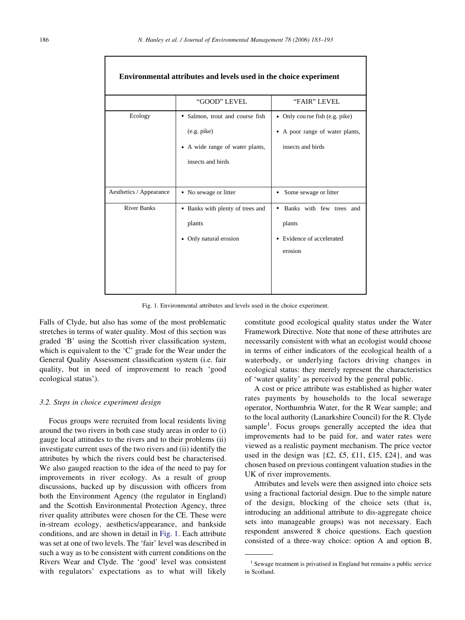|                         | Environmental attributes and levels used in the choice experiment                      |                                                                              |
|-------------------------|----------------------------------------------------------------------------------------|------------------------------------------------------------------------------|
|                         | "GOOD" LEVEL                                                                           | "FAIR" LEVEL                                                                 |
| Ecology                 | • Only course fish (e.g. pike)<br>• A poor range of water plants,<br>insects and birds |                                                                              |
| Aesthetics / Appearance | • No sewage or litter                                                                  | • Some sewage or litter                                                      |
| <b>River Banks</b>      | • Banks with plenty of trees and<br>plants<br>• Only natural erosion                   | • Banks with few trees and<br>plants<br>• Evidence of accelerated<br>erosion |

Fig. 1. Environmental attributes and levels used in the choice experiment.

Falls of Clyde, but also has some of the most problematic stretches in terms of water quality. Most of this section was graded 'B' using the Scottish river classification system, which is equivalent to the 'C' grade for the Wear under the General Quality Assessment classification system (i.e. fair quality, but in need of improvement to reach 'good ecological status').

#### 3.2. Steps in choice experiment design

Focus groups were recruited from local residents living around the two rivers in both case study areas in order to (i) gauge local attitudes to the rivers and to their problems (ii) investigate current uses of the two rivers and (ii) identify the attributes by which the rivers could best be characterised. We also gauged reaction to the idea of the need to pay for improvements in river ecology. As a result of group discussions, backed up by discussion with officers from both the Environment Agency (the regulator in England) and the Scottish Environmental Protection Agency, three river quality attributes were chosen for the CE. These were in-stream ecology, aesthetics/appearance, and bankside conditions, and are shown in detail in Fig. 1. Each attribute was set at one of two levels. The 'fair' level was described in such a way as to be consistent with current conditions on the Rivers Wear and Clyde. The 'good' level was consistent with regulators' expectations as to what will likely constitute good ecological quality status under the Water Framework Directive. Note that none of these attributes are necessarily consistent with what an ecologist would choose in terms of either indicators of the ecological health of a waterbody, or underlying factors driving changes in ecological status: they merely represent the characteristics of 'water quality' as perceived by the general public.

A cost or price attribute was established as higher water rates payments by households to the local sewerage operator, Northumbria Water, for the R Wear sample; and to the local authority (Lanarkshire Council) for the R. Clyde sample<sup>1</sup>. Focus groups generally accepted the idea that improvements had to be paid for, and water rates were viewed as a realistic payment mechanism. The price vector used in the design was  $\{£2, £5, £11, £15, £24\}$ , and was chosen based on previous contingent valuation studies in the UK of river improvements.

Attributes and levels were then assigned into choice sets using a fractional factorial design. Due to the simple nature of the design, blocking of the choice sets (that is, introducing an additional attribute to dis-aggregate choice sets into manageable groups) was not necessary. Each respondent answered 8 choice questions. Each question consisted of a three-way choice: option A and option B,

 $<sup>1</sup>$  Sewage treatment is privatised in England but remains a public service</sup> in Scotland.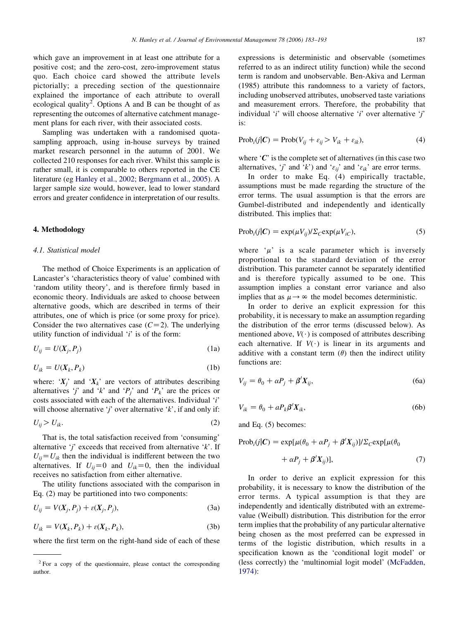which gave an improvement in at least one attribute for a positive cost; and the zero-cost, zero-improvement status quo. Each choice card showed the attribute levels pictorially; a preceding section of the questionnaire explained the importance of each attribute to overall ecological quality<sup>2</sup>. Options A and B can be thought of as representing the outcomes of alternative catchment management plans for each river, with their associated costs.

Sampling was undertaken with a randomised quotasampling approach, using in-house surveys by trained market research personnel in the autumn of 2001. We collected 210 responses for each river. Whilst this sample is rather small, it is comparable to others reported in the CE literature (eg [Hanley et al., 2002; Bergmann et al., 2005](#page-9-0)). A larger sample size would, however, lead to lower standard errors and greater confidence in interpretation of our results.

## 4. Methodology

## 4.1. Statistical model

The method of Choice Experiments is an application of Lancaster's 'characteristics theory of value' combined with 'random utility theory', and is therefore firmly based in economic theory. Individuals are asked to choose between alternative goods, which are described in terms of their attributes, one of which is price (or some proxy for price). Consider the two alternatives case  $(C=2)$ . The underlying utility function of individual  $i$  is of the form:

$$
U_{ij} = U(X_j, P_j) \tag{1a}
$$

$$
U_{ik} = U(X_k, P_k) \tag{1b}
$$

where: ' $X_i$ ' and ' $X_k$ ' are vectors of attributes describing alternatives 'j' and 'k' and ' $P_i$ ' and ' $P_k$ ' are the prices or costs associated with each of the alternatives. Individual 'i' will choose alternative '*j*' over alternative ' $k$ ', if and only if:

$$
U_{ij} > U_{ik}.\tag{2}
$$

That is, the total satisfaction received from 'consuming' alternative 'j' exceeds that received from alternative ' $k$ '. If  $U_{ii}=U_{ik}$  then the individual is indifferent between the two alternatives. If  $U_{ij}=0$  and  $U_{ik}=0$ , then the individual receives no satisfaction from either alternative.

The utility functions associated with the comparison in Eq. (2) may be partitioned into two components:

$$
U_{ij} = V(X_j, P_j) + \varepsilon(X_j, P_j), \tag{3a}
$$

$$
U_{ik} = V(X_k, P_k) + \varepsilon(X_k, P_k),\tag{3b}
$$

where the first term on the right-hand side of each of these

expressions is deterministic and observable (sometimes referred to as an indirect utility function) while the second term is random and unobservable. Ben-Akiva and Lerman (1985) attribute this randomness to a variety of factors, including unobserved attributes, unobserved taste variations and measurement errors. Therefore, the probability that individual 'i' will choose alternative 'i' over alternative 'i' is:

$$
Probi(j|C) = Prob(Vij + \varepsilonij > Vik + \varepsilonik),
$$
\n(4)

where  $C'$  is the complete set of alternatives (in this case two alternatives, 'j' and 'k') and ' $\varepsilon_{ij}$ ' and ' $\varepsilon_{ik}$ ' are error terms.

In order to make Eq. (4) empirically tractable, assumptions must be made regarding the structure of the error terms. The usual assumption is that the errors are Gumbel-distributed and independently and identically distributed. This implies that:

$$
Prob_i(j|C) = \exp(\mu V_{ij})/\Sigma_C \exp(\mu V_{iC}), \qquad (5)
$$

where  $\mu$  is a scale parameter which is inversely proportional to the standard deviation of the error distribution. This parameter cannot be separately identified and is therefore typically assumed to be one. This assumption implies a constant error variance and also implies that as  $\mu \rightarrow \infty$  the model becomes deterministic.

In order to derive an explicit expression for this probability, it is necessary to make an assumption regarding the distribution of the error terms (discussed below). As mentioned above,  $V(\cdot)$  is composed of attributes describing each alternative. If  $V(\cdot)$  is linear in its arguments and additive with a constant term  $(\theta)$  then the indirect utility functions are:

$$
V_{ij} = \theta_0 + \alpha P_j + \beta' X_{ij},\tag{6a}
$$

$$
V_{ik} = \theta_0 + aP_k \beta' X_{ik},\tag{6b}
$$

and Eq. (5) becomes:

$$
\text{Prob}_{i}(j|C) = \exp[\mu(\theta_0 + \alpha P_j + \beta' X_{ij})]/\Sigma_C \exp[\mu(\theta_0 + \alpha P_j + \beta' X_{ij})]
$$
\n
$$
(7)
$$

In order to derive an explicit expression for this probability, it is necessary to know the distribution of the error terms. A typical assumption is that they are independently and identically distributed with an extremevalue (Weibull) distribution. This distribution for the error term implies that the probability of any particular alternative being chosen as the most preferred can be expressed in terms of the logistic distribution, which results in a specification known as the 'conditional logit model' or (less correctly) the 'multinomial logit model' [\(McFadden,](#page-10-0) [1974](#page-10-0)):

 $2$  For a copy of the questionnaire, please contact the corresponding author.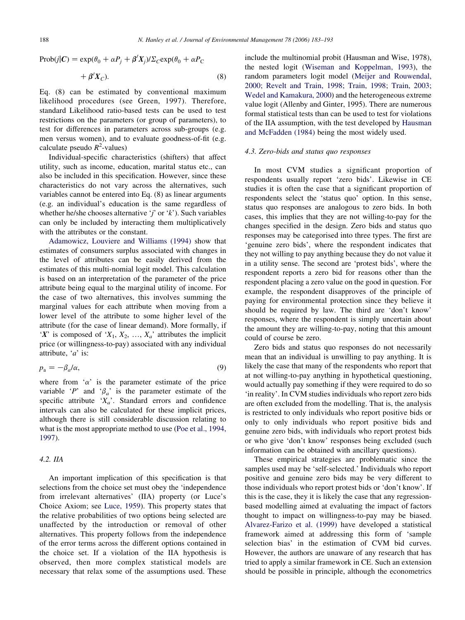Prob( $j|C$ ) = exp( $\theta_0 + \alpha P_j + \beta' X_j$ )/ $\Sigma_C$ exp( $\theta_0 + \alpha P_C$ 

$$
+\beta'X_C.\tag{8}
$$

Eq. (8) can be estimated by conventional maximum likelihood procedures (see Green, 1997). Therefore, standard Likelihood ratio-based tests can be used to test restrictions on the parameters (or group of parameters), to test for differences in parameters across sub-groups (e.g. men versus women), and to evaluate goodness-of-fit (e.g. calculate pseudo  $R^2$ -values)

Individual-specific characteristics (shifters) that affect utility, such as income, education, marital status etc., can also be included in this specification. However, since these characteristics do not vary across the alternatives, such variables cannot be entered into Eq. (8) as linear arguments (e.g. an individual's education is the same regardless of whether he/she chooses alternative '*j*' or '*k*'). Such variables can only be included by interacting them multiplicatively with the attributes or the constant.

[Adamowicz, Louviere and Williams \(1994\)](#page-9-0) show that estimates of consumers surplus associated with changes in the level of attributes can be easily derived from the estimates of this multi-nomial logit model. This calculation is based on an interpretation of the parameter of the price attribute being equal to the marginal utility of income. For the case of two alternatives, this involves summing the marginal values for each attribute when moving from a lower level of the attribute to some higher level of the attribute (for the case of linear demand). More formally, if 'X' is composed of ' $X_1, X_2, ..., X_a$ ' attributes the implicit price (or willingness-to-pay) associated with any individual attribute, 'a' is:

$$
p_a = -\beta_a/\alpha,\tag{9}
$$

where from ' $\alpha$ ' is the parameter estimate of the price variable 'P' and ' $\beta_a$ ' is the parameter estimate of the specific attribute ' $X_a$ '. Standard errors and confidence intervals can also be calculated for these implicit prices, although there is still considerable discussion relating to what is the most appropriate method to use [\(Poe et al., 1994,](#page-10-0) [1997\)](#page-10-0).

#### 4.2. IIA

An important implication of this specification is that selections from the choice set must obey the 'independence from irrelevant alternatives' (IIA) property (or Luce's Choice Axiom; see [Luce, 1959\)](#page-10-0). This property states that the relative probabilities of two options being selected are unaffected by the introduction or removal of other alternatives. This property follows from the independence of the error terms across the different options contained in the choice set. If a violation of the IIA hypothesis is observed, then more complex statistical models are necessary that relax some of the assumptions used. These

include the multinomial probit (Hausman and Wise, 1978), the nested logit [\(Wiseman and Koppelman, 1993\)](#page-10-0), the random parameters logit model [\(Meijer and Rouwendal,](#page-10-0) [2000; Revelt and Train, 1998; Train, 1998; Train, 2003;](#page-10-0) [Wedel and Kamakura, 2000\)](#page-10-0) and the heterogeneous extreme value logit (Allenby and Ginter, 1995). There are numerous formal statistical tests than can be used to test for violations of the IIA assumption, with the test developed by [Hausman](#page-9-0) [and McFadden \(1984\)](#page-9-0) being the most widely used.

#### 4.3. Zero-bids and status quo responses

In most CVM studies a significant proportion of respondents usually report 'zero bids'. Likewise in CE studies it is often the case that a significant proportion of respondents select the 'status quo' option. In this sense, status quo responses are analogous to zero bids. In both cases, this implies that they are not willing-to-pay for the changes specified in the design. Zero bids and status quo responses may be categorised into three types. The first are 'genuine zero bids', where the respondent indicates that they not willing to pay anything because they do not value it in a utility sense. The second are 'protest bids', where the respondent reports a zero bid for reasons other than the respondent placing a zero value on the good in question. For example, the respondent disapproves of the principle of paying for environmental protection since they believe it should be required by law. The third are 'don't know' responses, where the respondent is simply uncertain about the amount they are willing-to-pay, noting that this amount could of course be zero.

Zero bids and status quo responses do not necessarily mean that an individual is unwilling to pay anything. It is likely the case that many of the respondents who report that at not willing-to-pay anything in hypothetical questioning, would actually pay something if they were required to do so 'in reality'. In CVM studies individuals who report zero bids are often excluded from the modelling. That is, the analysis is restricted to only individuals who report positive bids or only to only individuals who report positive bids and genuine zero bids, with individuals who report protest bids or who give 'don't know' responses being excluded (such information can be obtained with ancillary questions).

These empirical strategies are problematic since the samples used may be 'self-selected.' Individuals who report positive and genuine zero bids may be very different to those individuals who report protest bids or 'don't know'. If this is the case, they it is likely the case that any regressionbased modelling aimed at evaluating the impact of factors thought to impact on willingness-to-pay may be biased. [Alvarez-Farizo et al. \(1999\)](#page-9-0) have developed a statistical framework aimed at addressing this form of 'sample selection bias' in the estimation of CVM bid curves. However, the authors are unaware of any research that has tried to apply a similar framework in CE. Such an extension should be possible in principle, although the econometrics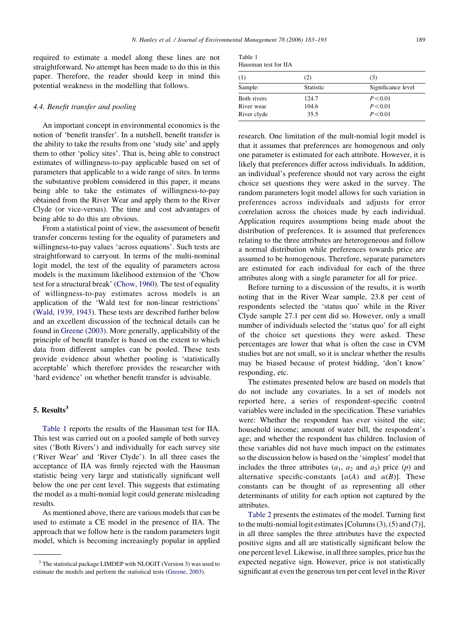required to estimate a model along these lines are not straightforward. No attempt has been made to do this in this paper. Therefore, the reader should keep in mind this potential weakness in the modelling that follows.

#### 4.4. Benefit transfer and pooling

An important concept in environmental economics is the notion of 'benefit transfer'. In a nutshell, benefit transfer is the ability to take the results from one 'study site' and apply them to other 'policy sites'. That is, being able to construct estimates of willingness-to-pay applicable based on set of parameters that applicable to a wide range of sites. In terms the substantive problem considered in this paper, it means being able to take the estimates of willingness-to-pay obtained from the River Wear and apply them to the River Clyde (or vice-versus). The time and cost advantages of being able to do this are obvious.

From a statistical point of view, the assessment of benefit transfer concerns testing for the equality of parameters and willingness-to-pay values 'across equations'. Such tests are straightforward to carryout. In terms of the multi-nominal logit model, the test of the equality of parameters across models is the maximum likelihood extension of the 'Chow test for a structural break' [\(Chow, 1960\)](#page-9-0). The test of equality of willingness-to-pay estimates across models is an application of the 'Wald test for non-linear restrictions' ([Wald, 1939, 1943](#page-10-0)). These tests are described further below and an excellent discussion of the technical details can be found in [Greene \(2003\).](#page-9-0) More generally, applicability of the principle of benefit transfer is based on the extent to which data from different samples can be pooled. These tests provide evidence about whether pooling is 'statistically acceptable' which therefore provides the researcher with 'hard evidence' on whether benefit transfer is advisable.

# 5. Results $3$

Table 1 reports the results of the Hausman test for IIA. This test was carried out on a pooled sample of both survey sites ('Both Rivers') and individually for each survey site ('River Wear' and 'River Clyde'). In all three cases the acceptance of IIA was firmly rejected with the Hausman statistic being very large and statistically significant well below the one per cent level. This suggests that estimating the model as a multi-nomial logit could generate misleading results.

As mentioned above, there are various models that can be used to estimate a CE model in the presence of IIA. The approach that we follow here is the random parameters logit model, which is becoming increasingly popular in applied

| Table 1 |                      |  |
|---------|----------------------|--|
|         | Hausman test for IIA |  |

| (1)         | (2)       | (3)                |
|-------------|-----------|--------------------|
| Sample:     | Statistic | Significance level |
| Both rivers | 124.7     | P < 0.01           |
| River wear  | 104.6     | P < 0.01           |
| River clyde | 35.5      | P < 0.01           |

research. One limitation of the mult-nomial logit model is that it assumes that preferences are homogenous and only one parameter is estimated for each attribute. However, it is likely that preferences differ across individuals. In addition, an individual's preference should not vary across the eight choice set questions they were asked in the survey. The random parameters logit model allows for such variation in preferences across individuals and adjusts for error correlation across the choices made by each individual. Application requires assumptions being made about the distribution of preferences. It is assumed that preferences relating to the three attributes are heterogeneous and follow a normal distribution while preferences towards price are assumed to be homogenous. Therefore, separate parameters are estimated for each individual for each of the three attributes along with a single parameter for all for price.

Before turning to a discussion of the results, it is worth noting that in the River Wear sample, 23.8 per cent of respondents selected the 'status quo' while in the River Clyde sample 27.1 per cent did so. However, only a small number of individuals selected the 'status quo' for all eight of the choice set questions they were asked. These percentages are lower that what is often the case in CVM studies but are not small, so it is unclear whether the results may be biased because of protest bidding, 'don't know' responding, etc.

The estimates presented below are based on models that do not include any covariates. In a set of models not reported here, a series of respondent-specific control variables were included in the specification. These variables were: Whether the respondent has ever visited the site; household income; amount of water bill, the respondent's age; and whether the respondent has children. Inclusion of these variables did not have much impact on the estimates so the discussion below is based on the 'simplest' model that includes the three attributes  $(a_1, a_2 \text{ and } a_3)$  price  $(p)$  and alternative specific-constants  $[\alpha(A)$  and  $\alpha(B)]$ . These constants can be thought of as representing all other determinants of utility for each option not captured by the attributes.

[Table 2](#page-7-0) presents the estimates of the model. Turning first to the multi-nomial logit estimates [Columns (3), (5) and (7)], in all three samples the three attributes have the expected positive signs and all are statistically significant below the one percent level. Likewise, in all three samples, price has the expected negative sign. However, price is not statistically significant at even the generous ten per cent level in the River

<sup>3</sup> The statistical package LIMDEP with NLOGIT (Version 3) was used to estimate the models and perform the statistical tests [\(Greene, 2003](#page-9-0)).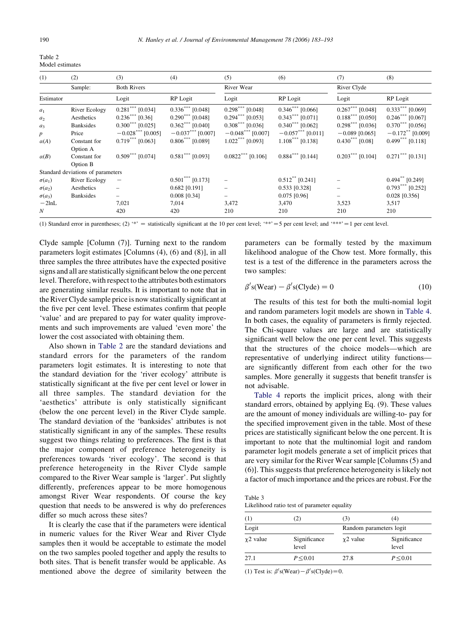<span id="page-7-0"></span>

| Table 2         |  |
|-----------------|--|
| Model estimates |  |

| (1)                                                                                         | (2)                                                                                                              | (3)                                                                                                                                          | (4)                                                                                                                               | (5)                                                                                                                                | (6)                                                                                                                                       | (7)                                                                                                                           | (8)                                                                                                                              |
|---------------------------------------------------------------------------------------------|------------------------------------------------------------------------------------------------------------------|----------------------------------------------------------------------------------------------------------------------------------------------|-----------------------------------------------------------------------------------------------------------------------------------|------------------------------------------------------------------------------------------------------------------------------------|-------------------------------------------------------------------------------------------------------------------------------------------|-------------------------------------------------------------------------------------------------------------------------------|----------------------------------------------------------------------------------------------------------------------------------|
|                                                                                             | Sample:                                                                                                          | <b>Both Rivers</b>                                                                                                                           |                                                                                                                                   | River Wear                                                                                                                         |                                                                                                                                           | River Clyde                                                                                                                   |                                                                                                                                  |
| Estimator                                                                                   |                                                                                                                  | Logit                                                                                                                                        | RP Logit                                                                                                                          | Logit                                                                                                                              | <b>RP</b> Logit                                                                                                                           | Logit                                                                                                                         | RP Logit                                                                                                                         |
| a <sub>1</sub><br>a <sub>2</sub><br>$a_3$<br>$\boldsymbol{p}$<br>$\alpha(A)$<br>$\alpha(B)$ | River Ecology<br>Aesthetics<br><b>Banksides</b><br>Price<br>Constant for<br>Option A<br>Constant for<br>Option B | $0.281***$ [0.034]<br>$0.236***$ [0.36]<br>$0.300***$ [0.025]<br>$-0.028$ <sup>***</sup> [0.005]<br>$0.719***$ [0.063]<br>$0.509***$ [0.074] | $0.336***$ [0.048]<br>$0.290***$ [0.048]<br>$0.362***$ [0.040]<br>$-0.037***$ [0.007]<br>$0.806***$ [0.089]<br>$0.581***$ [0.093] | $0.298***$ [0.048]<br>$0.294***$ [0.053]<br>$0.308***$ [0.036]<br>$-0.048***$ [0.007]<br>$1.022***$ [0.093]<br>$0.0822***$ [0.106] | $0.346***$ [0.066]<br>$0.343***$<br>$[0.071]$<br>$0.340^{***}$ [0.062]<br>$-0.057***$ [0.011]<br>$1.108***$ [0.138]<br>$0.884***$ [0.144] | $0.267***$ [0.048]<br>$0.188***$ [0.050]<br>$0.298***$ [0.036]<br>$-0.089$ [0.065]<br>$0.430***$ [0.08]<br>$0.203***$ [0.104] | $0.333***$ [0.069]<br>$0.246***$ [0.067]<br>$0.370***$ [0.056]<br>$-0.172**$ [0.009]<br>$0.499***$ [0.118]<br>$0.271***$ [0.131] |
|                                                                                             | Standard deviations of parameters                                                                                |                                                                                                                                              |                                                                                                                                   |                                                                                                                                    |                                                                                                                                           |                                                                                                                               |                                                                                                                                  |
| $\sigma(a_1)$<br>$\sigma(a_2)$<br>$\sigma(a_3)$<br>$-2lnL$<br>$\boldsymbol{N}$              | River Ecology<br>Aesthetics<br><b>Banksides</b>                                                                  | 7,021<br>420                                                                                                                                 | $0.501***$ [0.173]<br>$0.682$ [0.191]<br>$0.008$ [0.34]<br>7,014<br>420                                                           | 3,472<br>210                                                                                                                       | $0.512^{**}$ [0.241]<br>$0.533$ [0.328]<br>$0.075$ [0.96]<br>3,470<br>210                                                                 | 3,523<br>210                                                                                                                  | $0.494$ $(0.249)$<br>$0.793***$ [0.252]<br>$0.028$ [0.356]<br>3,517<br>210                                                       |

(1) Standard error in parentheses; (2) '\*' = statistically significant at the 10 per cent level; '\*\*' = 5 per cent level; and '\*\*\*' = 1 per cent level.

Clyde sample [Column (7)]. Turning next to the random parameters logit estimates [Columns (4), (6) and (8)], in all three samples the three attributes have the expected positive signs and all are statistically significant below the one percent level. Therefore, with respect to the attributes both estimators are generating similar results. It is important to note that in the River Clyde sample price is now statistically significant at the five per cent level. These estimates confirm that people 'value' and are prepared to pay for water quality improvements and such improvements are valued 'even more' the lower the cost associated with obtaining them.

Also shown in Table 2 are the standard deviations and standard errors for the parameters of the random parameters logit estimates. It is interesting to note that the standard deviation for the 'river ecology' attribute is statistically significant at the five per cent level or lower in all three samples. The standard deviation for the 'aesthetics' attribute is only statistically significant (below the one percent level) in the River Clyde sample. The standard deviation of the 'banksides' attributes is not statistically significant in any of the samples. These results suggest two things relating to preferences. The first is that the major component of preference heterogeneity is preferences towards 'river ecology'. The second is that preference heterogeneity in the River Clyde sample compared to the River Wear sample is 'larger'. Put slightly differently, preferences appear to be more homogenous amongst River Wear respondents. Of course the key question that needs to be answered is why do preferences differ so much across these sites?

It is clearly the case that if the parameters were identical in numeric values for the River Wear and River Clyde samples then it would be acceptable to estimate the model on the two samples pooled together and apply the results to both sites. That is benefit transfer would be applicable. As mentioned above the degree of similarity between the

parameters can be formally tested by the maximum likelihood analogue of the Chow test. More formally, this test is a test of the difference in the parameters across the two samples:

$$
\beta' s(Wear) - \beta' s(Clyde) = 0 \tag{10}
$$

The results of this test for both the multi-nomial logit and random parameters logit models are shown in [Table 4](#page-8-0). In both cases, the equality of parameters is firmly rejected. The Chi-square values are large and are statistically significant well below the one per cent level. This suggests that the structures of the choice models—which are representative of underlying indirect utility functions are significantly different from each other for the two samples. More generally it suggests that benefit transfer is not advisable.

[Table 4](#page-8-0) reports the implicit prices, along with their standard errors, obtained by applying Eq. (9). These values are the amount of money individuals are willing-to- pay for the specified improvement given in the table. Most of these prices are statistically significant below the one percent. It is important to note that the multinomial logit and random parameter logit models generate a set of implicit prices that are very similar for the River Wear sample [Columns (5) and (6)]. This suggests that preference heterogeneity is likely not a factor of much importance and the prices are robust. For the

Table 3 Likelihood ratio test of parameter equality

| (1)            | 21                    | (3)                     | (4)                   |  |  |
|----------------|-----------------------|-------------------------|-----------------------|--|--|
| Logit          |                       | Random parameters logit |                       |  |  |
| $\chi$ 2 value | Significance<br>level | $\chi$ 2 value          | Significance<br>level |  |  |
| 27.1           | P < 0.01              | 27.8                    | $P \leq 0.01$         |  |  |

(1) Test is:  $\beta$ 's(Wear) -  $\beta$ 's(Clyde) = 0.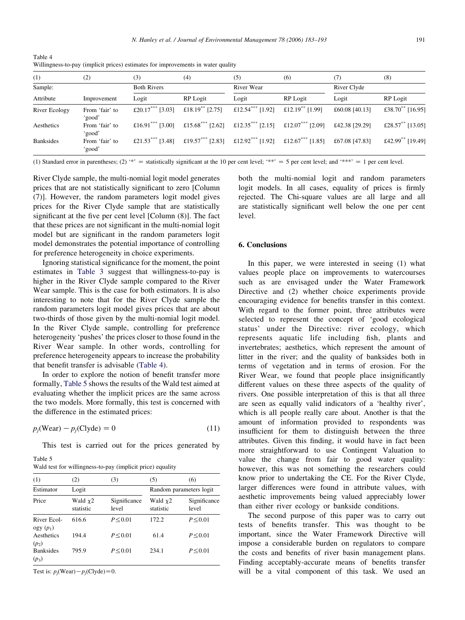<span id="page-8-0"></span>

| Table 4                                                                          |  |
|----------------------------------------------------------------------------------|--|
| Willingness-to-pay (implicit prices) estimates for improvements in water quality |  |

| (1)              | (2)                      | (3)                | (4)                                                       | (5)              | (6)                                                                                | (7)            | (8)                          |
|------------------|--------------------------|--------------------|-----------------------------------------------------------|------------------|------------------------------------------------------------------------------------|----------------|------------------------------|
| Sample:          |                          | <b>Both Rivers</b> |                                                           | River Wear       |                                                                                    | River Clyde    |                              |
| Attribute        | Improvement              | Logit              | RP Logit                                                  | Logit            | RP Logit                                                                           | Logit          | RP Logit                     |
| River Ecology    | From 'fair' to<br>'good' | £20.17*** [3.03]   | £18.19 <sup>**</sup> [2.75]                               | £12.54*** [1.92] | £12.19 <sup>**</sup> [1.99]                                                        | £60.08 [40.13] | £38.70 <sup>**</sup> [16.95] |
| Aesthetics       | From 'fair' to<br>'good' |                    |                                                           |                  | £16.91*** [3.00] £15.68*** [2.62] £12.35*** [2.15] £12.07*** [2.09] £42.38 [29.29] |                | £28.57 [13.05]               |
| <b>Banksides</b> | From 'fair' to<br>'good' |                    | £21.53 <sup>***</sup> [3.48] £19.57 <sup>***</sup> [2.83] |                  | £12.92 <sup>***</sup> [1.92] £12.67 <sup>***</sup> [1.85] £67.08 [47.83]           |                | £42.99 <sup>**</sup> [19.49] |

(1) Standard error in parentheses; (2) '\*' = statistically significant at the 10 per cent level; '\*\*' = 5 per cent level; and '\*\*\*' = 1 per cent level.

River Clyde sample, the multi-nomial logit model generates prices that are not statistically significant to zero [Column (7)]. However, the random parameters logit model gives prices for the River Clyde sample that are statistically significant at the five per cent level [Column (8)]. The fact that these prices are not significant in the multi-nomial logit model but are significant in the random parameters logit model demonstrates the potential importance of controlling for preference heterogeneity in choice experiments.

Ignoring statistical significance for the moment, the point estimates in [Table 3](#page-7-0) suggest that willingness-to-pay is higher in the River Clyde sample compared to the River Wear sample. This is the case for both estimators. It is also interesting to note that for the River Clyde sample the random parameters logit model gives prices that are about two-thirds of those given by the multi-nomial logit model. In the River Clyde sample, controlling for preference heterogeneity 'pushes' the prices closer to those found in the River Wear sample. In other words, controlling for preference heterogeneity appears to increase the probability that benefit transfer is advisable (Table 4).

In order to explore the notion of benefit transfer more formally, Table 5 shows the results of the Wald test aimed at evaluating whether the implicit prices are the same across the two models. More formally, this test is concerned with the difference in the estimated prices:

$$
p_j(\text{Wear}) - p_j(\text{Clyde}) = 0 \tag{11}
$$

This test is carried out for the prices generated by

Table 5 Wald test for willingness-to-pay (implicit price) equality

| (1)                          | (2)                        | (3)                   | (5)                        | (6)                     |
|------------------------------|----------------------------|-----------------------|----------------------------|-------------------------|
| Estimator                    | Logit                      |                       |                            | Random parameters logit |
| Price                        | Wald $\chi$ 2<br>statistic | Significance<br>level | Wald $\chi$ 2<br>statistic | Significance<br>level   |
| River Ecol-<br>$\log y(p_1)$ | 616.6                      | P < 0.01              | 172.2                      | P < 0.01                |
| Aesthetics<br>$(p_2)$        | 194.4                      | $P \leq 0.01$         | 61.4                       | P < 0.01                |
| <b>Banksides</b><br>$(p_3)$  | 795.9                      | P < 0.01              | 234.1                      | P < 0.01                |

Test is:  $p_j(\text{Wear}) - p_j(\text{Clyde}) = 0.$ 

both the multi-nomial logit and random parameters logit models. In all cases, equality of prices is firmly rejected. The Chi-square values are all large and all are statistically significant well below the one per cent level.

## 6. Conclusions

In this paper, we were interested in seeing (1) what values people place on improvements to watercourses such as are envisaged under the Water Framework Directive and (2) whether choice experiments provide encouraging evidence for benefits transfer in this context. With regard to the former point, three attributes were selected to represent the concept of 'good ecological status' under the Directive: river ecology, which represents aquatic life including fish, plants and invertebrates; aesthetics, which represent the amount of litter in the river; and the quality of banksides both in terms of vegetation and in terms of erosion. For the River Wear, we found that people place insignificantly different values on these three aspects of the quality of rivers. One possible interpretation of this is that all three are seen as equally valid indicators of a 'healthy river', which is all people really care about. Another is that the amount of information provided to respondents was insufficient for them to distinguish between the three attributes. Given this finding, it would have in fact been more straightforward to use Contingent Valuation to value the change from fair to good water quality: however, this was not something the researchers could know prior to undertaking the CE. For the River Clyde, larger differences were found in attribute values, with aesthetic improvements being valued appreciably lower than either river ecology or bankside conditions.

The second purpose of this paper was to carry out tests of benefits transfer. This was thought to be important, since the Water Framework Directive will impose a considerable burden on regulators to compare the costs and benefits of river basin management plans. Finding acceptably-accurate means of benefits transfer will be a vital component of this task. We used an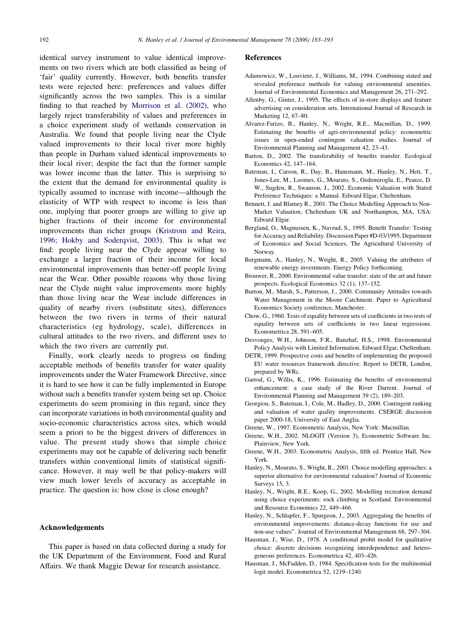<span id="page-9-0"></span>identical survey instrument to value identical improvements on two rivers which are both classified as being of 'fair' quality currently. However, both benefits transfer tests were rejected here: preferences and values differ significantly across the two samples. This is a similar finding to that reached by [Morrison et al. \(2002\),](#page-10-0) who largely reject transferability of values and preferences in a choice experiment study of wetlands conservation in Australia. We found that people living near the Clyde valued improvements to their local river more highly than people in Durham valued identical improvements to their local river; despite the fact that the former sample was lower income than the latter. This is surprising to the extent that the demand for environmental quality is typically assumed to increase with income—although the elasticity of WTP with respect to income is less than one, implying that poorer groups are willing to give up higher fractions of their income for environmental improvements than richer groups ([Kristrom and Reira,](#page-10-0) [1996; Hokby and Soderqvist, 2003](#page-10-0)). This is what we find: people living near the Clyde appear willing to exchange a larger fraction of their income for local environmental improvements than better-off people living near the Wear. Other possible reasons why those living near the Clyde might value improvements more highly than those living near the Wear include differences in quality of nearby rivers (substitute sites), differences between the two rivers in terms of their natural characteristics (eg hydrology, scale), differences in cultural attitudes to the two rivers, and different uses to which the two rivers are currently put.

Finally, work clearly needs to progress on finding acceptable methods of benefits transfer for water quality improvements under the Water Framework Directive, since it is hard to see how it can be fully implemented in Europe without such a benefits transfer system being set up. Choice experiments do seem promising in this regard, since they can incorporate variations in both environmental quality and socio-economic characteristics across sites, which would seem a priori to be the biggest drivers of differences in value. The present study shows that simple choice experiments may not be capable of delivering such benefit transfers within conventional limits of statistical significance. However, it may well be that policy-makers will view much lower levels of accuracy as acceptable in practice. The question is: how close is close enough?

#### Acknowledgements

This paper is based on data collected during a study for the UK Department of the Environment, Food and Rural Affairs. We thank Maggie Dewar for research assistance.

#### References

- Adamowicz, W., Louviere, J., Williams, M., 1994. Combining stated and revealed preference methods for valuing environmental amenities. Journal of Environmental Economics and Management 26, 271–292.
- Allenby, G., Ginter, J., 1995. The effects of in-store displays and feature advertising on consideration sets. International Journal of Research in Marketing 12, 67–80.
- Alvarez-Farizo, B., Hanley, N., Wright, R.E., Macmillan, D., 1999. Estimating the benefits of agri-environmental policy: econometric issues in open-ended contingent valuation studies. Journal of Environmental Planning and Management 42, 23–43.
- Barton, D., 2002. The transferability of benefits transfer. Ecological Economics 42, 147–164.
- Bateman, I., Carson, R., Day, B., Hanemann, M., Hanley, N., Hett, T., Jones-Lee, M., Loomes, G., Mourato, S., Ozdemiroglu, E., Pearce, D. W., Sugden, R., Swanson, J., 2002. Economic Valuation with Stated Preference Techniques: a Manual. Edward Elgar, Cheltenham.
- Bennett, J. and Blamey R., 2001. The Choice Modelling Approach to Non-Market Valuation, Cheltenham UK and Northampton, MA, USA: Edward Elgar.
- Bergland, O., Magnussen, K., Navrud, S., 1995. Benefit Transfer: Testing for Accuracy and Reliability. Discussion Paper #D-03/1995. Department of Economics and Social Sciences, The Agricultural University of Norway.
- Bergmann, A., Hanley, N., Wright, R., 2005. Valuing the attributes of renewable energy investments. Energy Policy forthcoming.
- Brouwer, R., 2000. Environmental value transfer: state of the art and future prospects. Ecological Economics 32 (1), 137–152.
- Burton, M., Marsh, S., Patterson, J., 2000. Community Attitudes towards Water Management in the Moore Catchment. Paper to Agricultural Economics Society conference, Manchester.
- Chow, G., 1960. Tests of equality between sets of coefficients in two tests of equality between sets of coefficients in two linear regressions. Econometrica 28, 591–605.
- Desvouges, W.H., Johnson, F.R., Banzhaf, H.S., 1998. Environmental Policy Analysis with Limited Information. Edward Elgar, Cheltenham.
- DETR, 1999. Prospective costs and benefits of implementing the proposed EU water resources framework directive. Report to DETR, London, prepared by WRc.
- Garrod, G., Willis, K., 1996. Estimating the benefits of environmental enhancement: a case study of the River Darrent. Journal of Environmental Planning and Management 39 (2), 189–203.
- Georgiou, S., Bateman, I., Cole, M., Hadley, D., 2000. Contingent ranking and valuation of water quality improvements. CSERGE discussion paper 2000-18, University of East Anglia.
- Greene, W., 1997. Econometric Analysis, New York: Macmillan.
- Greene, W.H., 2002. NLOGIT (Version 3), Econometric Software Inc. Plainview, New York.
- Greene, W.H., 2003. Econometric Analysis, fifth ed. Prentice Hall, New York.
- Hanley, N., Mourato, S., Wright, R., 2001. Choice modelling approaches: a superior alternative for environmental valuation? Journal of Economic Surveys 15, 3.
- Hanley, N., Wright, R.E., Koop, G., 2002. Modelling recreation demand using choice experiments: rock climbing in Scotland. Environmental and Resource Economics 22, 449–466.
- Hanley, N., Schlapfer, F., Spurgeon, J., 2003. Aggregating the benefits of environmental improvements: distance-decay functions for use and non-use values". Journal of Environmental Management 68, 297–304.
- Hausman, J., Wise, D., 1978. A conditional probit model for qualitative choice: discrete decisions recognizing interdependence and heterogeneous preferences. Econometrica 42, 403–426.
- Hausman, J., McFadden, D., 1984. Specification tests for the multinomial logit model. Econometrica 52, 1219–1240.